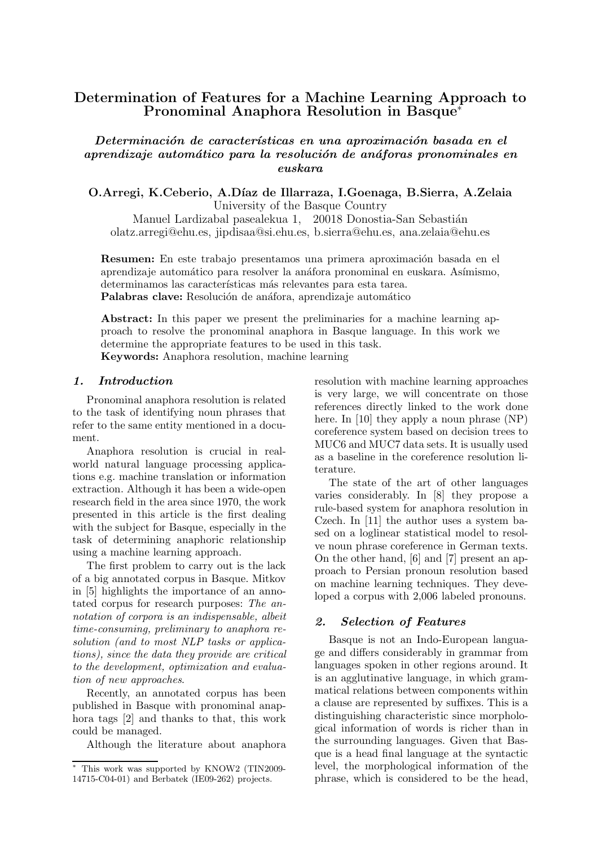# Determination of Features for a Machine Learning Approach to Pronominal Anaphora Resolution in Basque<sup>∗</sup>

Determinación de características en una aproximación basada en el aprendizaje automático para la resolución de anáforas pronominales en euskara

O.Arregi, K.Ceberio, A.Díaz de Illarraza, I.Goenaga, B.Sierra, A.Zelaia University of the Basque Country

Manuel Lardizabal pasealekua 1, 20018 Donostia-San Sebastián olatz.arregi@ehu.es, jipdisaa@si.ehu.es, b.sierra@ehu.es, ana.zelaia@ehu.es

**Resumen:** En este trabajo presentamos una primera aproximación basada en el aprendizaje automático para resolver la anáfora pronominal en euskara. Asímismo, determinamos las características más relevantes para esta tarea. Palabras clave: Resolución de anáfora, aprendizaje automático

Abstract: In this paper we present the preliminaries for a machine learning approach to resolve the pronominal anaphora in Basque language. In this work we determine the appropriate features to be used in this task.

Keywords: Anaphora resolution, machine learning

# 1. Introduction

Pronominal anaphora resolution is related to the task of identifying noun phrases that refer to the same entity mentioned in a document.

Anaphora resolution is crucial in realworld natural language processing applications e.g. machine translation or information extraction. Although it has been a wide-open research field in the area since 1970, the work presented in this article is the first dealing with the subject for Basque, especially in the task of determining anaphoric relationship using a machine learning approach.

The first problem to carry out is the lack of a big annotated corpus in Basque. Mitkov in [5] highlights the importance of an annotated corpus for research purposes: The annotation of corpora is an indispensable, albeit time-consuming, preliminary to anaphora resolution (and to most NLP tasks or applications), since the data they provide are critical to the development, optimization and evaluation of new approaches.

Recently, an annotated corpus has been published in Basque with pronominal anaphora tags [2] and thanks to that, this work could be managed.

Although the literature about anaphora

resolution with machine learning approaches is very large, we will concentrate on those references directly linked to the work done here. In [10] they apply a noun phrase  $(NP)$ coreference system based on decision trees to MUC6 and MUC7 data sets. It is usually used as a baseline in the coreference resolution literature.

The state of the art of other languages varies considerably. In [8] they propose a rule-based system for anaphora resolution in Czech. In [11] the author uses a system based on a loglinear statistical model to resolve noun phrase coreference in German texts. On the other hand, [6] and [7] present an approach to Persian pronoun resolution based on machine learning techniques. They developed a corpus with 2,006 labeled pronouns.

### 2. Selection of Features

Basque is not an Indo-European language and differs considerably in grammar from languages spoken in other regions around. It is an agglutinative language, in which grammatical relations between components within a clause are represented by suffixes. This is a distinguishing characteristic since morphological information of words is richer than in the surrounding languages. Given that Basque is a head final language at the syntactic level, the morphological information of the phrase, which is considered to be the head,

<sup>∗</sup> This work was supported by KNOW2 (TIN2009- 14715-C04-01) and Berbatek (IE09-262) projects.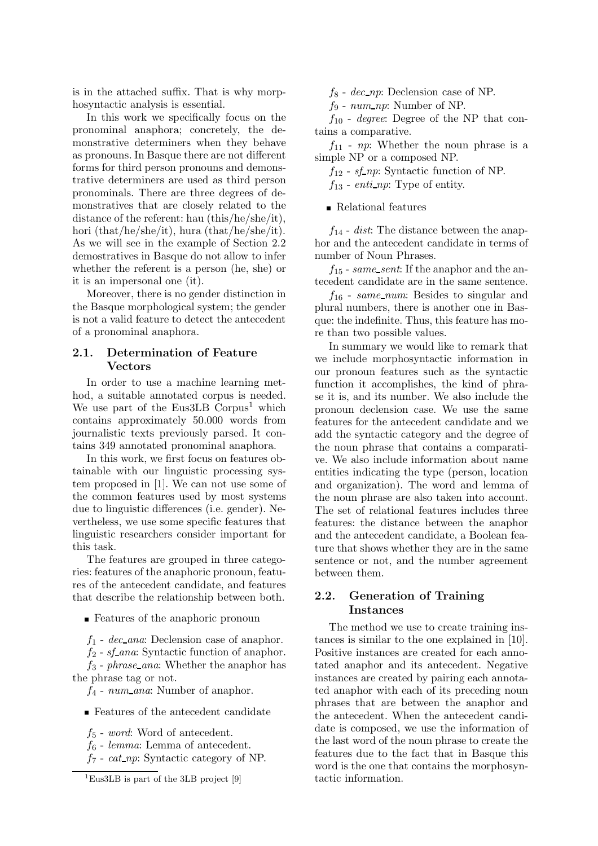is in the attached suffix. That is why morphosyntactic analysis is essential.

In this work we specifically focus on the pronominal anaphora; concretely, the demonstrative determiners when they behave as pronouns. In Basque there are not different forms for third person pronouns and demonstrative determiners are used as third person pronominals. There are three degrees of demonstratives that are closely related to the distance of the referent: hau (this/he/she/it), hori (that/he/she/it), hura (that/he/she/it). As we will see in the example of Section 2.2 demostratives in Basque do not allow to infer whether the referent is a person (he, she) or it is an impersonal one (it).

Moreover, there is no gender distinction in the Basque morphological system; the gender is not a valid feature to detect the antecedent of a pronominal anaphora.

## 2.1. Determination of Feature Vectors

In order to use a machine learning method, a suitable annotated corpus is needed. We use part of the Eus $3LB$  Corpus<sup>1</sup> which contains approximately 50.000 words from journalistic texts previously parsed. It contains 349 annotated pronominal anaphora.

In this work, we first focus on features obtainable with our linguistic processing system proposed in [1]. We can not use some of the common features used by most systems due to linguistic differences (i.e. gender). Nevertheless, we use some specific features that linguistic researchers consider important for this task.

The features are grouped in three categories: features of the anaphoric pronoun, features of the antecedent candidate, and features that describe the relationship between both.

Features of the anaphoric pronoun

 $f_1$  - dec\_ana: Declension case of anaphor.

 $f_2$  -  $sf_$ ana: Syntactic function of anaphor.  $f_3$  - phrase\_ana: Whether the anaphor has the phrase tag or not.

 $f_4$  - num ana: Number of anaphor.

**Features of the antecedent candidate** 

 $f<sub>5</sub>$  - word: Word of antecedent.

 $f_6$  - *lemma*: Lemma of antecedent.

 $f_7$  - cat np: Syntactic category of NP.

 $f_8$  - dec\_np: Declension case of NP.

 $f_9$  -  $num\_np$ : Number of NP.

 $f_{10}$  - *degree*: Degree of the NP that contains a comparative.

 $f_{11}$  - np: Whether the noun phrase is a simple NP or a composed NP.

 $f_{12}$  -  $sf_np$ : Syntactic function of NP.  $f_{13}$  - enti-np: Type of entity.

Relational features

 $f_{14}$  - *dist*: The distance between the anaphor and the antecedent candidate in terms of number of Noun Phrases.

 $f_{15}$  - same\_sent: If the anaphor and the antecedent candidate are in the same sentence.

 $f_{16}$  - same\_num: Besides to singular and plural numbers, there is another one in Basque: the indefinite. Thus, this feature has more than two possible values.

In summary we would like to remark that we include morphosyntactic information in our pronoun features such as the syntactic function it accomplishes, the kind of phrase it is, and its number. We also include the pronoun declension case. We use the same features for the antecedent candidate and we add the syntactic category and the degree of the noun phrase that contains a comparative. We also include information about name entities indicating the type (person, location and organization). The word and lemma of the noun phrase are also taken into account. The set of relational features includes three features: the distance between the anaphor and the antecedent candidate, a Boolean feature that shows whether they are in the same sentence or not, and the number agreement between them.

# 2.2. Generation of Training Instances

The method we use to create training instances is similar to the one explained in [10]. Positive instances are created for each annotated anaphor and its antecedent. Negative instances are created by pairing each annotated anaphor with each of its preceding noun phrases that are between the anaphor and the antecedent. When the antecedent candidate is composed, we use the information of the last word of the noun phrase to create the features due to the fact that in Basque this word is the one that contains the morphosyntactic information.

<sup>&</sup>lt;sup>1</sup>Eus3LB is part of the 3LB project [9]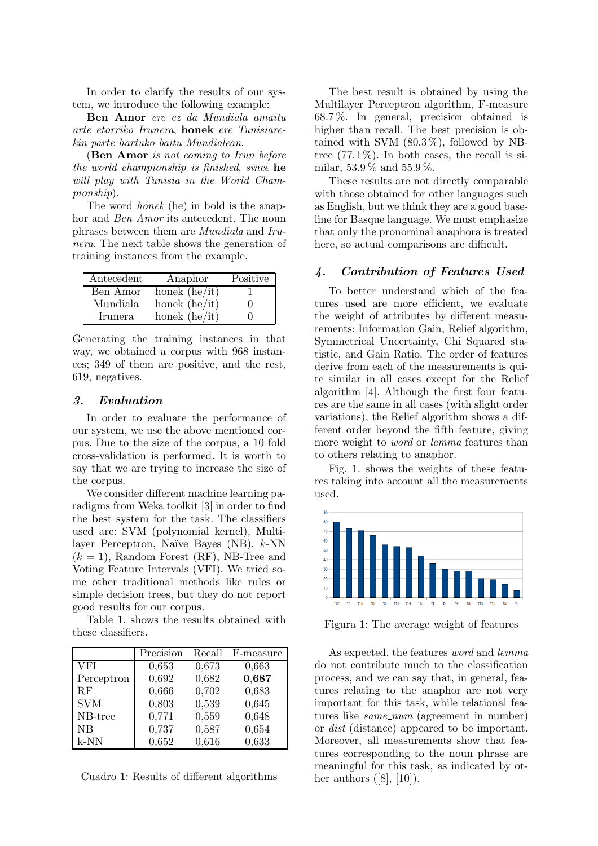In order to clarify the results of our system, we introduce the following example:

Ben Amor ere ez da Mundiala amaitu arte etorriko Irunera, honek ere Tunisiarekin parte hartuko baitu Mundialean.

(Ben Amor is not coming to Irun before the world championship is finished, since he will play with Tunisia in the World Championship).

The word honek (he) in bold is the anaphor and Ben Amor its antecedent. The noun phrases between them are Mundiala and Irunera. The next table shows the generation of training instances from the example.

| Antecedent | Anaphor         | Positive |
|------------|-----------------|----------|
| Ben Amor   | honek $(he/it)$ |          |
| Mundiala   | honek $(he/it)$ |          |
| Irunera    | honek $(he/it)$ |          |

Generating the training instances in that way, we obtained a corpus with 968 instances; 349 of them are positive, and the rest, 619, negatives.

# 3. Evaluation

In order to evaluate the performance of our system, we use the above mentioned corpus. Due to the size of the corpus, a 10 fold cross-validation is performed. It is worth to say that we are trying to increase the size of the corpus.

We consider different machine learning paradigms from Weka toolkit [3] in order to find the best system for the task. The classifiers used are: SVM (polynomial kernel), Multilayer Perceptron, Naïve Bayes  $(NB)$ , k-NN  $(k = 1)$ , Random Forest (RF), NB-Tree and Voting Feature Intervals (VFI). We tried some other traditional methods like rules or simple decision trees, but they do not report good results for our corpus.

Table 1. shows the results obtained with these classifiers.

|            | Precision | Recall | F-measure |
|------------|-----------|--------|-----------|
| <b>VFI</b> | 0,653     | 0,673  | 0,663     |
| Perceptron | 0,692     | 0,682  | 0,687     |
| RF         | 0,666     | 0,702  | 0,683     |
| <b>SVM</b> | 0,803     | 0,539  | 0,645     |
| $NB-tree$  | 0,771     | 0,559  | 0,648     |
| NB         | 0,737     | 0,587  | 0,654     |
| $k-NN$     | 0,652     | 0,616  | 0,633     |

Cuadro 1: Results of different algorithms

The best result is obtained by using the Multilayer Perceptron algorithm, F-measure 68.7 %. In general, precision obtained is higher than recall. The best precision is obtained with SVM  $(80.3\%)$ , followed by NBtree  $(77.1\%)$ . In both cases, the recall is similar, 53.9 % and 55.9 %.

These results are not directly comparable with those obtained for other languages such as English, but we think they are a good baseline for Basque language. We must emphasize that only the pronominal anaphora is treated here, so actual comparisons are difficult.

#### 4. Contribution of Features Used

To better understand which of the features used are more efficient, we evaluate the weight of attributes by different measurements: Information Gain, Relief algorithm, Symmetrical Uncertainty, Chi Squared statistic, and Gain Ratio. The order of features derive from each of the measurements is quite similar in all cases except for the Relief algorithm [4]. Although the first four features are the same in all cases (with slight order variations), the Relief algorithm shows a different order beyond the fifth feature, giving more weight to *word* or *lemma* features than to others relating to anaphor.

Fig. 1. shows the weights of these features taking into account all the measurements used.



Figura 1: The average weight of features

As expected, the features word and lemma do not contribute much to the classification process, and we can say that, in general, features relating to the anaphor are not very important for this task, while relational features like *same\_num* (agreement in number) or dist (distance) appeared to be important. Moreover, all measurements show that features corresponding to the noun phrase are meaningful for this task, as indicated by other authors  $([8], [10])$ .